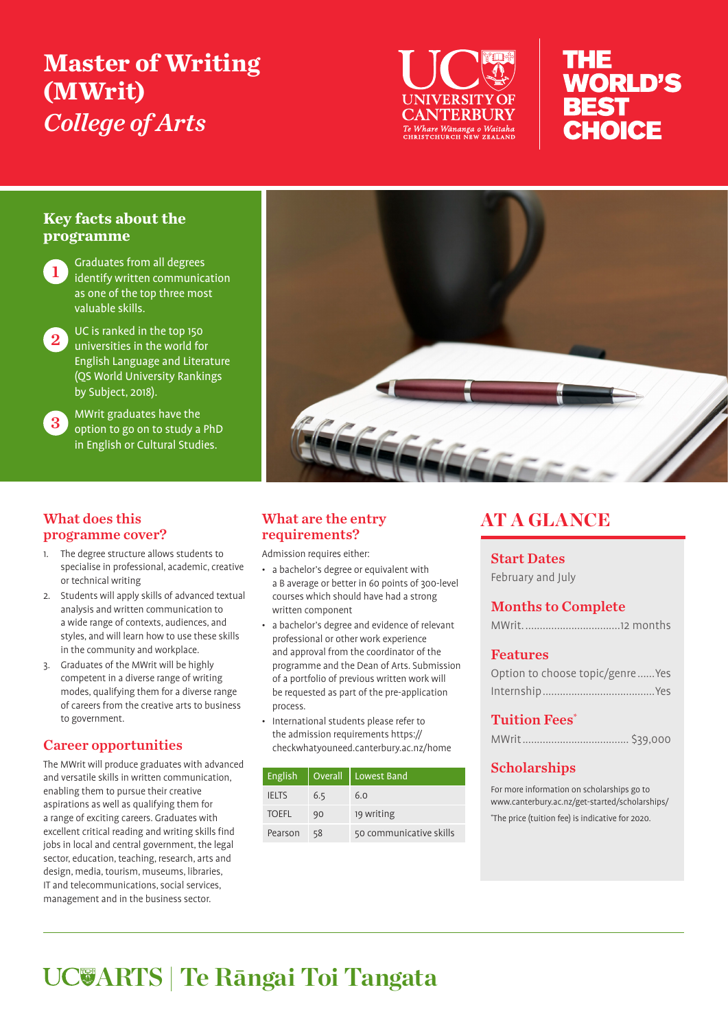# **Master of Writing (MWrit)**  *College of Arts*



# THE **WORLD'S BEST** CHOICE

# **Key facts about the programme**

**1** Graduates from all degrees identify written communication as one of the top three most valuable skills.

2 UC is ranked in the top 150 universities in the world for English Language and Literature (QS World University Rankings by Subject, 2018).

3 MWrit graduates have the option to go on to study a PhD in English or Cultural Studies.



#### What does this programme cover?

- 1. The degree structure allows students to specialise in professional, academic, creative or technical writing
- 2. Students will apply skills of advanced textual analysis and written communication to a wide range of contexts, audiences, and styles, and will learn how to use these skills in the community and workplace.
- 3. Graduates of the MWrit will be highly competent in a diverse range of writing modes, qualifying them for a diverse range of careers from the creative arts to business to government.

# Career opportunities

The MWrit will produce graduates with advanced and versatile skills in written communication, enabling them to pursue their creative aspirations as well as qualifying them for a range of exciting careers. Graduates with excellent critical reading and writing skills find jobs in local and central government, the legal sector, education, teaching, research, arts and design, media, tourism, museums, libraries, IT and telecommunications, social services, management and in the business sector.

# What are the entry requirements?

Admission requires either:

- a bachelor's degree or equivalent with a B average or better in 60 points of 300-level courses which should have had a strong written component
- a bachelor's degree and evidence of relevant professional or other work experience and approval from the coordinator of the programme and the Dean of Arts. Submission of a portfolio of previous written work will be requested as part of the pre-application process.
- International students please refer to the admission requirements https:// checkwhatyouneed.canterbury.ac.nz/home

| English      | Overall | Lowest Band             |
|--------------|---------|-------------------------|
| <b>IELTS</b> | 6.5     | 6.0                     |
| <b>TOEFL</b> | 90      | 19 writing              |
| Pearson      | 58      | 50 communicative skills |

# AT A GLANCE

# Start Dates

February and July

# Months to Complete

# Features

| Option to choose topic/genre  Yes |
|-----------------------------------|
|                                   |

# Tuition Fees\*

|--|--|

# **Scholarships**

For more information on scholarships go to www.canterbury.ac.nz/get-started/scholarships/ \* The price (tuition fee) is indicative for 2020.

# **ARTS | Te Rāngai Toi Tangata**